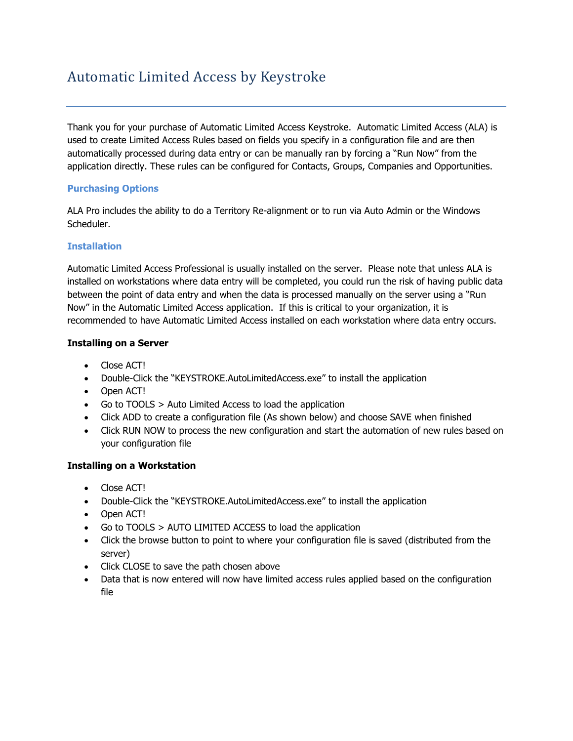# Automatic Limited Access by Keystroke

Thank you for your purchase of Automatic Limited Access Keystroke. Automatic Limited Access (ALA) is used to create Limited Access Rules based on fields you specify in a configuration file and are then automatically processed during data entry or can be manually ran by forcing a "Run Now" from the application directly. These rules can be configured for Contacts, Groups, Companies and Opportunities.

## **Purchasing Options**

ALA Pro includes the ability to do a Territory Re-alignment or to run via Auto Admin or the Windows Scheduler.

## **Installation**

Automatic Limited Access Professional is usually installed on the server. Please note that unless ALA is installed on workstations where data entry will be completed, you could run the risk of having public data between the point of data entry and when the data is processed manually on the server using a "Run Now" in the Automatic Limited Access application. If this is critical to your organization, it is recommended to have Automatic Limited Access installed on each workstation where data entry occurs.

## **Installing on a Server**

- Close ACT!
- Double-Click the "KEYSTROKE.AutoLimitedAccess.exe" to install the application
- Open ACT!
- Go to TOOLS > Auto Limited Access to load the application
- Click ADD to create a configuration file (As shown below) and choose SAVE when finished
- Click RUN NOW to process the new configuration and start the automation of new rules based on your configuration file

## **Installing on a Workstation**

- Close ACT!
- Double-Click the "KEYSTROKE.AutoLimitedAccess.exe" to install the application
- Open ACT!
- Go to TOOLS > AUTO LIMITED ACCESS to load the application
- Click the browse button to point to where your configuration file is saved (distributed from the server)
- Click CLOSE to save the path chosen above
- Data that is now entered will now have limited access rules applied based on the configuration file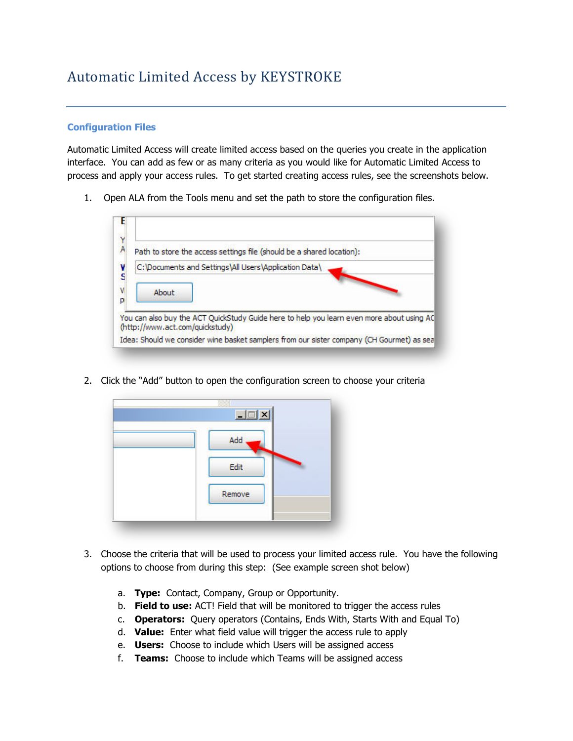### **Configuration Files**

Automatic Limited Access will create limited access based on the queries you create in the application interface. You can add as few or as many criteria as you would like for Automatic Limited Access to process and apply your access rules. To get started creating access rules, see the screenshots below.

1. Open ALA from the Tools menu and set the path to store the configuration files.



2. Click the "Add" button to open the configuration screen to choose your criteria

| Add  |        |  |
|------|--------|--|
|      |        |  |
| Edit |        |  |
|      |        |  |
|      | Remove |  |

- 3. Choose the criteria that will be used to process your limited access rule. You have the following options to choose from during this step: (See example screen shot below)
	- a. **Type:** Contact, Company, Group or Opportunity.
	- b. **Field to use:** ACT! Field that will be monitored to trigger the access rules
	- c. **Operators:** Query operators (Contains, Ends With, Starts With and Equal To)
	- d. **Value:** Enter what field value will trigger the access rule to apply
	- e. **Users:** Choose to include which Users will be assigned access
	- f. **Teams:** Choose to include which Teams will be assigned access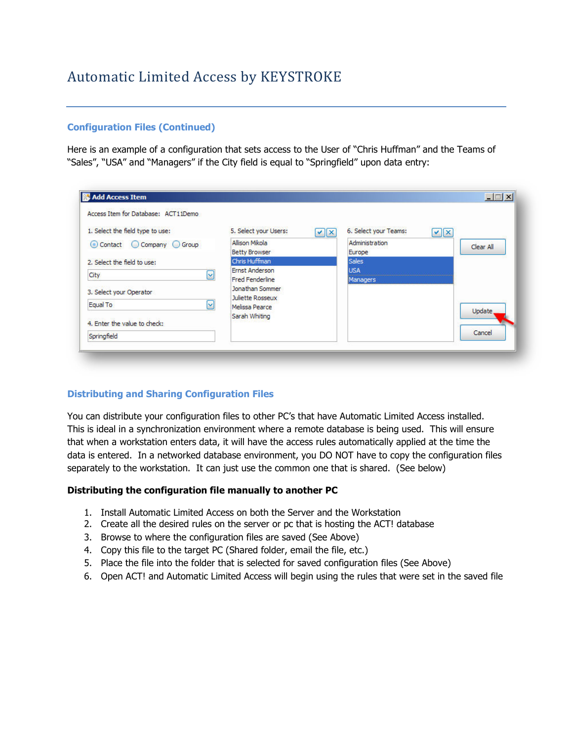### **Configuration Files (Continued)**

Here is an example of a configuration that sets access to the User of "Chris Huffman" and the Teams of "Sales", "USA" and "Managers" if the City field is equal to "Springfield" upon data entry:

| Access Item for Database: ACT11Demo |                                           |                                         |                         |
|-------------------------------------|-------------------------------------------|-----------------------------------------|-------------------------|
| 1. Select the field type to use:    | 5. Select your Users:<br>$ v $ $\times$   | 6. Select your Teams:<br>$ v $ $\times$ |                         |
| Contact C Company C Group           | Allison Mikola                            | Administration                          | Clear All               |
|                                     | <b>Betty Browser</b>                      | Europe                                  |                         |
| 2. Select the field to use:         | Chris Huffman                             | <b>Sales</b>                            |                         |
| $\vert \vee \vert$<br>City          | <b>Ernst Anderson</b>                     | <b>USA</b>                              |                         |
|                                     | <b>Fred Fenderline</b>                    | Managers                                |                         |
| 3. Select your Operator             | Jonathan Sommer                           |                                         |                         |
| ☑<br>Equal To                       | <b>Juliette Rosseux</b><br>Melissa Pearce |                                         |                         |
| 4. Enter the value to check:        | Sarah Whiting                             |                                         | <b>Update</b><br>Cancel |
| Springfield                         |                                           |                                         |                         |

## **Distributing and Sharing Configuration Files**

You can distribute your configuration files to other PC's that have Automatic Limited Access installed. This is ideal in a synchronization environment where a remote database is being used. This will ensure that when a workstation enters data, it will have the access rules automatically applied at the time the data is entered. In a networked database environment, you DO NOT have to copy the configuration files separately to the workstation. It can just use the common one that is shared. (See below)

#### **Distributing the configuration file manually to another PC**

- 1. Install Automatic Limited Access on both the Server and the Workstation
- 2. Create all the desired rules on the server or pc that is hosting the ACT! database
- 3. Browse to where the configuration files are saved (See Above)
- 4. Copy this file to the target PC (Shared folder, email the file, etc.)
- 5. Place the file into the folder that is selected for saved configuration files (See Above)
- 6. Open ACT! and Automatic Limited Access will begin using the rules that were set in the saved file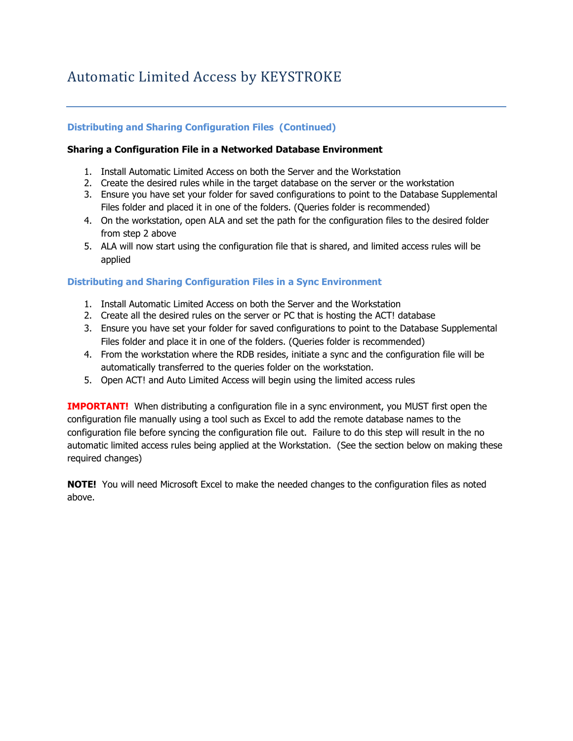## **Distributing and Sharing Configuration Files (Continued)**

#### **Sharing a Configuration File in a Networked Database Environment**

- 1. Install Automatic Limited Access on both the Server and the Workstation
- 2. Create the desired rules while in the target database on the server or the workstation
- 3. Ensure you have set your folder for saved configurations to point to the Database Supplemental Files folder and placed it in one of the folders. (Queries folder is recommended)
- 4. On the workstation, open ALA and set the path for the configuration files to the desired folder from step 2 above
- 5. ALA will now start using the configuration file that is shared, and limited access rules will be applied

### **Distributing and Sharing Configuration Files in a Sync Environment**

- 1. Install Automatic Limited Access on both the Server and the Workstation
- 2. Create all the desired rules on the server or PC that is hosting the ACT! database
- 3. Ensure you have set your folder for saved configurations to point to the Database Supplemental Files folder and place it in one of the folders. (Queries folder is recommended)
- 4. From the workstation where the RDB resides, initiate a sync and the configuration file will be automatically transferred to the queries folder on the workstation.
- 5. Open ACT! and Auto Limited Access will begin using the limited access rules

**IMPORTANT!** When distributing a configuration file in a sync environment, you MUST first open the configuration file manually using a tool such as Excel to add the remote database names to the configuration file before syncing the configuration file out. Failure to do this step will result in the no automatic limited access rules being applied at the Workstation. (See the section below on making these required changes)

**NOTE!** You will need Microsoft Excel to make the needed changes to the configuration files as noted above.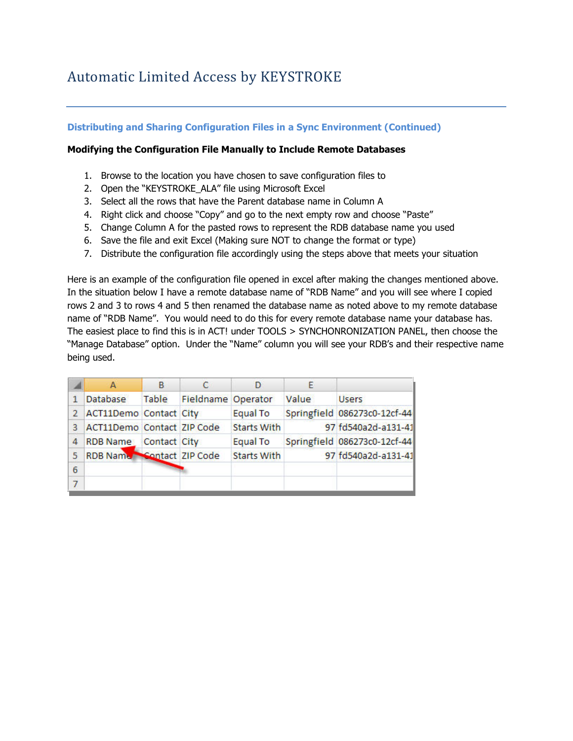### **Distributing and Sharing Configuration Files in a Sync Environment (Continued)**

### **Modifying the Configuration File Manually to Include Remote Databases**

- 1. Browse to the location you have chosen to save configuration files to
- 2. Open the "KEYSTROKE\_ALA" file using Microsoft Excel
- 3. Select all the rows that have the Parent database name in Column A
- 4. Right click and choose "Copy" and go to the next empty row and choose "Paste"
- 5. Change Column A for the pasted rows to represent the RDB database name you used
- 6. Save the file and exit Excel (Making sure NOT to change the format or type)
- 7. Distribute the configuration file accordingly using the steps above that meets your situation

Here is an example of the configuration file opened in excel after making the changes mentioned above. In the situation below I have a remote database name of "RDB Name" and you will see where I copied rows 2 and 3 to rows 4 and 5 then renamed the database name as noted above to my remote database name of "RDB Name". You would need to do this for every remote database name your database has. The easiest place to find this is in ACT! under TOOLS > SYNCHONRONIZATION PANEL, then choose the "Manage Database" option. Under the "Name" column you will see your RDB's and their respective name being used.

|   | А                          | B            | c                  | D                  | E     |                              |
|---|----------------------------|--------------|--------------------|--------------------|-------|------------------------------|
|   | Database                   | <b>Table</b> | Fieldname Operator |                    | Value | <b>Users</b>                 |
| 2 | ACT11Demo Contact City     |              |                    | <b>Equal To</b>    |       | Springfield 086273c0-12cf-44 |
| 3 | ACT11Demo Contact ZIP Code |              |                    | <b>Starts With</b> |       | 97 fd540a2d-a131-41          |
| 4 | RDB Name Contact City      |              |                    | <b>Equal To</b>    |       | Springfield 086273c0-12cf-44 |
| 5 | RDB Name Contact ZIP Code  |              |                    | <b>Starts With</b> |       | 97 fd540a2d-a131-41          |
| 6 |                            |              |                    |                    |       |                              |
| 7 |                            |              |                    |                    |       |                              |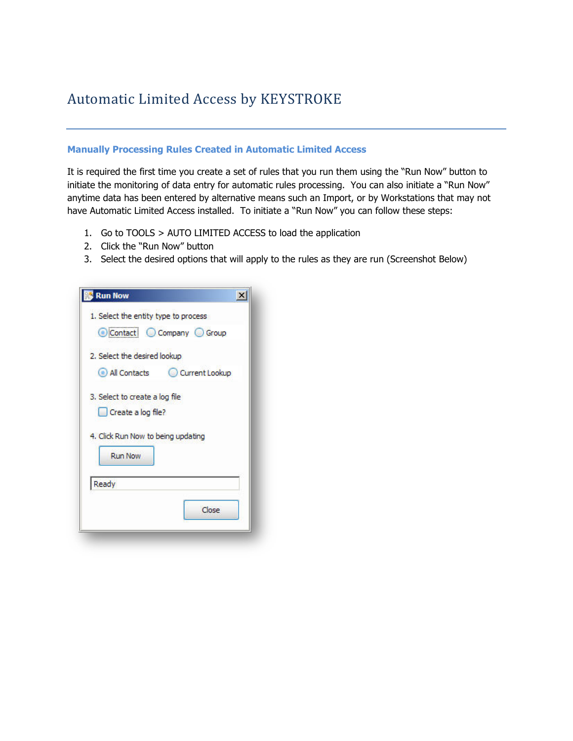### **Manually Processing Rules Created in Automatic Limited Access**

It is required the first time you create a set of rules that you run them using the "Run Now" button to initiate the monitoring of data entry for automatic rules processing. You can also initiate a "Run Now" anytime data has been entered by alternative means such an Import, or by Workstations that may not have Automatic Limited Access installed. To initiate a "Run Now" you can follow these steps:

- 1. Go to TOOLS > AUTO LIMITED ACCESS to load the application
- 2. Click the "Run Now" button
- 3. Select the desired options that will apply to the rules as they are run (Screenshot Below)

| <b>Run Now</b>                                                |  |
|---------------------------------------------------------------|--|
| 1. Select the entity type to process<br>Contact Company Group |  |
| 2. Select the desired lookup.                                 |  |
| All Contacts<br>Current Lookup                                |  |
| 3. Select to create a log file                                |  |
| Create a log file?                                            |  |
| 4. Click Run Now to being updating                            |  |
| <b>Run Now</b>                                                |  |
| Ready                                                         |  |
| Close                                                         |  |
|                                                               |  |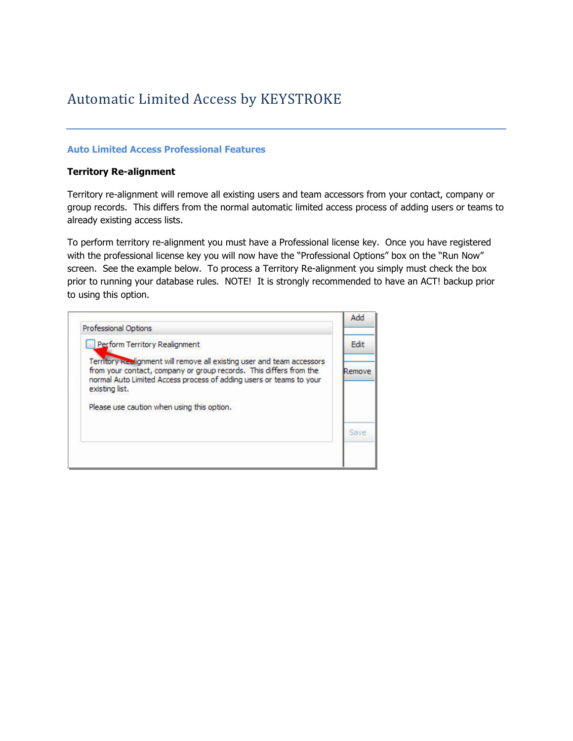### **Auto Limited Access Professional Features**

#### **Territory Re-alignment**

Territory re-alignment will remove all existing users and team accessors from your contact, company or group records. This differs from the normal automatic limited access process of adding users or teams to already existing access lists.

To perform territory re-alignment you must have a Professional license key. Once you have registered with the professional license key you will now have the "Professional Options" box on the "Run Now" screen. See the example below. To process a Territory Re-alignment you simply must check the box prior to running your database rules. NOTE! It is strongly recommended to have an ACT! backup prior to using this option.

|                                                                                                                                                                                                                                       | Add    |
|---------------------------------------------------------------------------------------------------------------------------------------------------------------------------------------------------------------------------------------|--------|
| Professional Options<br>Perform Territory Realignment                                                                                                                                                                                 | Edi    |
| Territory Reclignment will remove all existing user and team accessors<br>from your contact, company or group records. This differs from the<br>normal Auto Limited Access process of adding users or teams to your<br>existing list. | Remove |
| Please use caution when using this option.                                                                                                                                                                                            |        |
|                                                                                                                                                                                                                                       |        |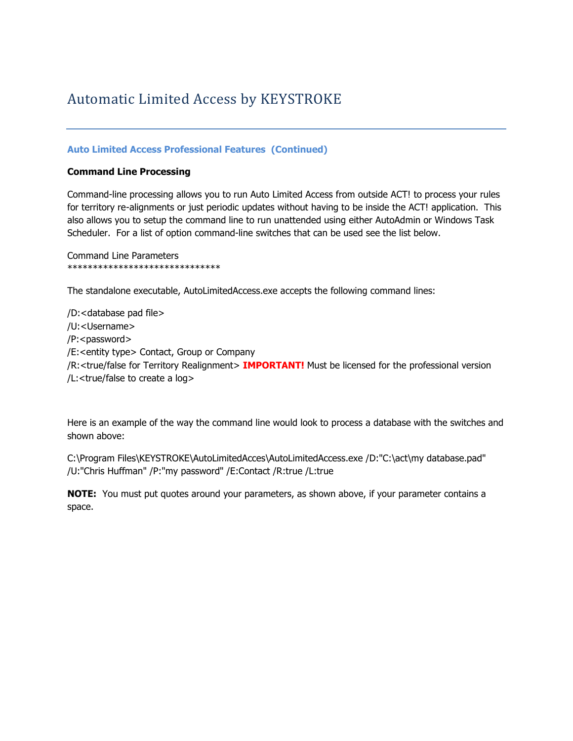## **Auto Limited Access Professional Features (Continued)**

#### **Command Line Processing**

Command-line processing allows you to run Auto Limited Access from outside ACT! to process your rules for territory re-alignments or just periodic updates without having to be inside the ACT! application. This also allows you to setup the command line to run unattended using either AutoAdmin or Windows Task Scheduler. For a list of option command-line switches that can be used see the list below.

Command Line Parameters \*\*\*\*\*\*\*\*\*\*\*\*\*\*\*\*\*\*\*\*\*\*\*\*\*\*\*\*\*\*

The standalone executable, AutoLimitedAccess.exe accepts the following command lines:

/D:<database pad file> /U:<Username> /P:<password> /E:<entity type> Contact, Group or Company /R:<true/false for Territory Realignment> **IMPORTANT!** Must be licensed for the professional version /L:<true/false to create a log>

Here is an example of the way the command line would look to process a database with the switches and shown above:

C:\Program Files\KEYSTROKE\AutoLimitedAcces\AutoLimitedAccess.exe /D:"C:\act\my database.pad" /U:"Chris Huffman" /P:"my password" /E:Contact /R:true /L:true

**NOTE:** You must put quotes around your parameters, as shown above, if your parameter contains a space.